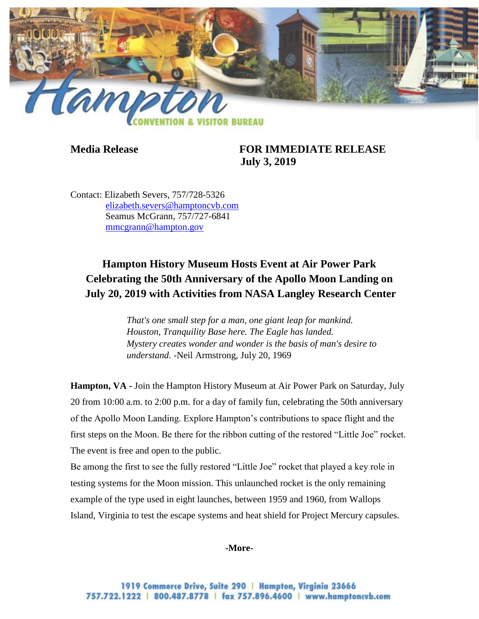

## **Media Release FOR IMMEDIATE RELEASE July 3, 2019**

Contact: Elizabeth Severs, 757/728-5326 [elizabeth.severs@hamptoncvb.com](mailto:elizabeth.severs@hamptoncvb.com) Seamus McGrann, 757/727-6841 [mmcgrann@hampton.gov](mailto:mmcgrann@hampton.gov)

# **Hampton History Museum Hosts Event at Air Power Park Celebrating the 50th Anniversary of the Apollo Moon Landing on July 20, 2019 with Activities from NASA Langley Research Center**

*That's one small step for a man, one giant leap for mankind. Houston, Tranquility Base here. The Eagle has landed. Mystery creates wonder and wonder is the basis of man's desire to understand.* -Neil Armstrong, July 20, 1969

**Hampton, VA -** Join the Hampton History Museum at Air Power Park on Saturday, July 20 from 10:00 a.m. to 2:00 p.m. for a day of family fun, celebrating the 50th anniversary of the Apollo Moon Landing. Explore Hampton's contributions to space flight and the first steps on the Moon. Be there for the ribbon cutting of the restored "Little Joe" rocket. The event is free and open to the public.

Be among the first to see the fully restored "Little Joe" rocket that played a key role in testing systems for the Moon mission. This unlaunched rocket is the only remaining example of the type used in eight launches, between 1959 and 1960, from Wallops Island, Virginia to test the escape systems and heat shield for Project Mercury capsules.

#### **-More-**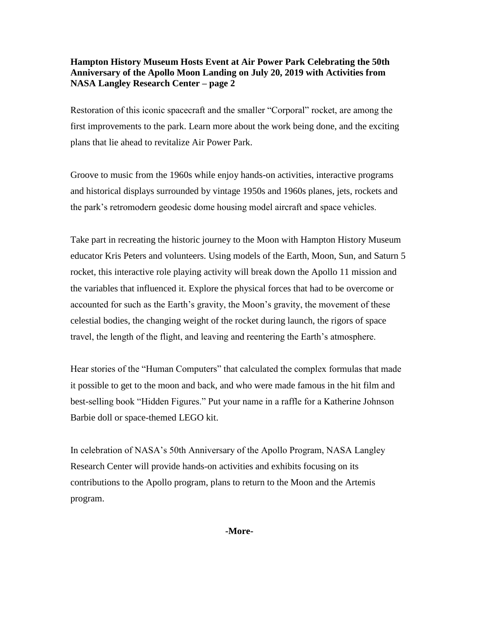Restoration of this iconic spacecraft and the smaller "Corporal" rocket, are among the first improvements to the park. Learn more about the work being done, and the exciting plans that lie ahead to revitalize Air Power Park.

Groove to music from the 1960s while enjoy hands-on activities, interactive programs and historical displays surrounded by vintage 1950s and 1960s planes, jets, rockets and the park's retromodern geodesic dome housing model aircraft and space vehicles.

Take part in recreating the historic journey to the Moon with Hampton History Museum educator Kris Peters and volunteers. Using models of the Earth, Moon, Sun, and Saturn 5 rocket, this interactive role playing activity will break down the Apollo 11 mission and the variables that influenced it. Explore the physical forces that had to be overcome or accounted for such as the Earth's gravity, the Moon's gravity, the movement of these celestial bodies, the changing weight of the rocket during launch, the rigors of space travel, the length of the flight, and leaving and reentering the Earth's atmosphere.

Hear stories of the "Human Computers" that calculated the complex formulas that made it possible to get to the moon and back, and who were made famous in the hit film and best-selling book "Hidden Figures." Put your name in a raffle for a Katherine Johnson Barbie doll or space-themed LEGO kit.

In celebration of NASA's 50th Anniversary of the Apollo Program, NASA Langley Research Center will provide hands-on activities and exhibits focusing on its contributions to the Apollo program, plans to return to the Moon and the Artemis program.

**-More-**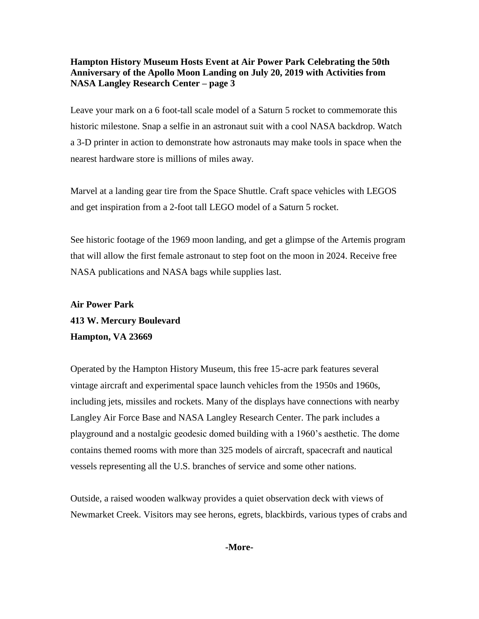Leave your mark on a 6 foot-tall scale model of a Saturn 5 rocket to commemorate this historic milestone. Snap a selfie in an astronaut suit with a cool NASA backdrop. Watch a 3-D printer in action to demonstrate how astronauts may make tools in space when the nearest hardware store is millions of miles away.

Marvel at a landing gear tire from the Space Shuttle. Craft space vehicles with LEGOS and get inspiration from a 2-foot tall LEGO model of a Saturn 5 rocket.

See historic footage of the 1969 moon landing, and get a glimpse of the Artemis program that will allow the first female astronaut to step foot on the moon in 2024. Receive free NASA publications and NASA bags while supplies last.

# **Air Power Park 413 W. Mercury Boulevard Hampton, VA 23669**

Operated by the Hampton History Museum, this free 15-acre park features several vintage aircraft and experimental space launch vehicles from the 1950s and 1960s, including jets, missiles and rockets. Many of the displays have connections with nearby Langley Air Force Base and NASA Langley Research Center. The park includes a playground and a nostalgic geodesic domed building with a 1960's aesthetic. The dome contains themed rooms with more than 325 models of aircraft, spacecraft and nautical vessels representing all the U.S. branches of service and some other nations.

Outside, a raised wooden walkway provides a quiet observation deck with views of Newmarket Creek. Visitors may see herons, egrets, blackbirds, various types of crabs and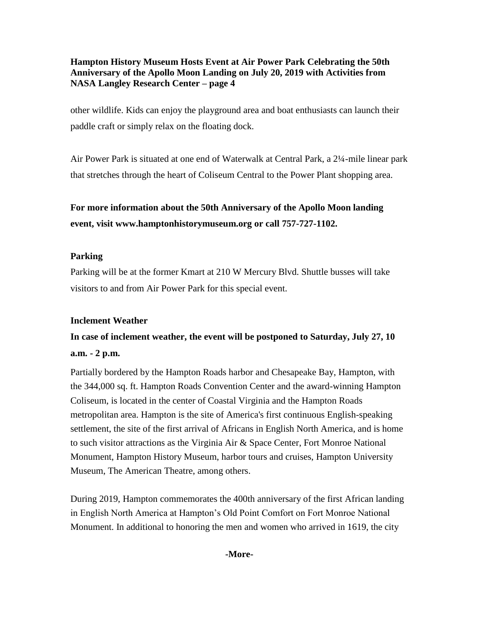other wildlife. Kids can enjoy the playground area and boat enthusiasts can launch their paddle craft or simply relax on the floating dock.

Air Power Park is situated at one end of Waterwalk at Central Park, a 2¼-mile linear park that stretches through the heart of Coliseum Central to the Power Plant shopping area.

# **For more information about the 50th Anniversary of the Apollo Moon landing event, visit www.hamptonhistorymuseum.org or call 757-727-1102.**

## **Parking**

Parking will be at the former Kmart at 210 W Mercury Blvd. Shuttle busses will take visitors to and from Air Power Park for this special event.

#### **Inclement Weather**

# **In case of inclement weather, the event will be postponed to Saturday, July 27, 10 a.m. - 2 p.m.**

Partially bordered by the Hampton Roads harbor and Chesapeake Bay, Hampton, with the 344,000 sq. ft. Hampton Roads Convention Center and the award-winning Hampton Coliseum, is located in the center of Coastal Virginia and the Hampton Roads metropolitan area. Hampton is the site of America's first continuous English-speaking settlement, the site of the first arrival of Africans in English North America, and is home to such visitor attractions as the Virginia Air & Space Center, Fort Monroe National Monument, Hampton History Museum, harbor tours and cruises, Hampton University Museum, The American Theatre, among others.

During 2019, Hampton commemorates the 400th anniversary of the first African landing in English North America at Hampton's Old Point Comfort on Fort Monroe National Monument. In additional to honoring the men and women who arrived in 1619, the city

#### **-More-**